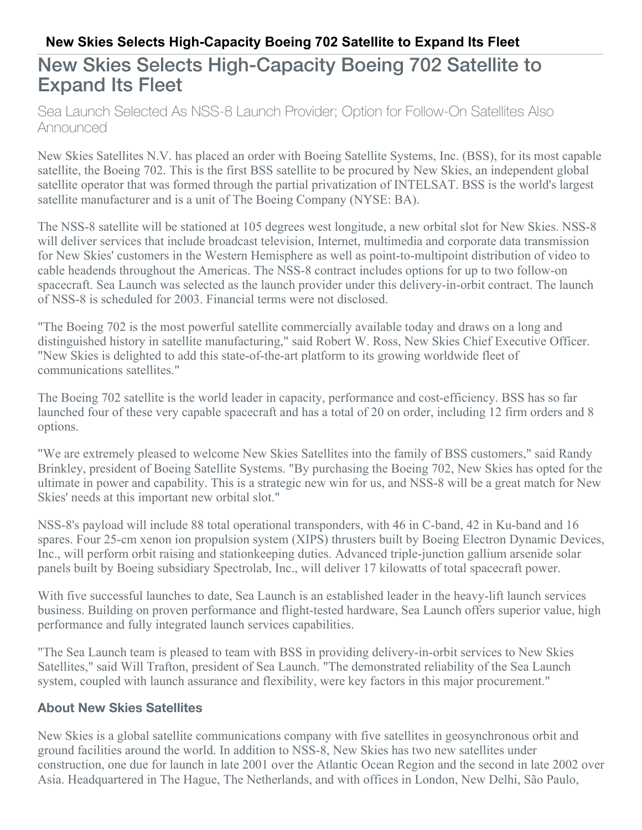# **New Skies Selects High-Capacity Boeing 702 Satellite to Expand Its Fleet**

# New Skies Selects High-Capacity Boeing 702 Satellite to Expand Its Fleet

Sea Launch Selected As NSS-8 Launch Provider; Option for Follow-On Satellites Also Announced

New Skies Satellites N.V. has placed an order with Boeing Satellite Systems, Inc. (BSS), for its most capable satellite, the Boeing 702. This is the first BSS satellite to be procured by New Skies, an independent global satellite operator that was formed through the partial privatization of INTELSAT. BSS is the world's largest satellite manufacturer and is a unit of The Boeing Company (NYSE: BA).

The NSS-8 satellite will be stationed at 105 degrees west longitude, a new orbital slot for New Skies. NSS-8 will deliver services that include broadcast television, Internet, multimedia and corporate data transmission for New Skies' customers in the Western Hemisphere as well as point-to-multipoint distribution of video to cable headends throughout the Americas. The NSS-8 contract includes options for up to two follow-on spacecraft. Sea Launch was selected as the launch provider under this delivery-in-orbit contract. The launch of NSS-8 is scheduled for 2003. Financial terms were not disclosed.

"The Boeing 702 is the most powerful satellite commercially available today and draws on a long and distinguished history in satellite manufacturing," said Robert W. Ross, New Skies Chief Executive Officer. "New Skies is delighted to add this state-of-the-art platform to its growing worldwide fleet of communications satellites."

The Boeing 702 satellite is the world leader in capacity, performance and cost-efficiency. BSS has so far launched four of these very capable spacecraft and has a total of 20 on order, including 12 firm orders and 8 options.

"We are extremely pleased to welcome New Skies Satellites into the family of BSS customers," said Randy Brinkley, president of Boeing Satellite Systems. "By purchasing the Boeing 702, New Skies has opted for the ultimate in power and capability. This is a strategic new win for us, and NSS-8 will be a great match for New Skies' needs at this important new orbital slot."

NSS-8's payload will include 88 total operational transponders, with 46 in C-band, 42 in Ku-band and 16 spares. Four 25-cm xenon ion propulsion system (XIPS) thrusters built by Boeing Electron Dynamic Devices, Inc., will perform orbit raising and stationkeeping duties. Advanced triple-junction gallium arsenide solar panels built by Boeing subsidiary Spectrolab, Inc., will deliver 17 kilowatts of total spacecraft power.

With five successful launches to date, Sea Launch is an established leader in the heavy-lift launch services business. Building on proven performance and flight-tested hardware, Sea Launch offers superior value, high performance and fully integrated launch services capabilities.

"The Sea Launch team is pleased to team with BSS in providing delivery-in-orbit services to New Skies Satellites," said Will Trafton, president of Sea Launch. "The demonstrated reliability of the Sea Launch system, coupled with launch assurance and flexibility, were key factors in this major procurement."

#### **About New Skies Satellites**

New Skies is a global satellite communications company with five satellites in geosynchronous orbit and ground facilities around the world. In addition to NSS-8, New Skies has two new satellites under construction, one due for launch in late 2001 over the Atlantic Ocean Region and the second in late 2002 over Asia. Headquartered in The Hague, The Netherlands, and with offices in London, New Delhi, São Paulo,